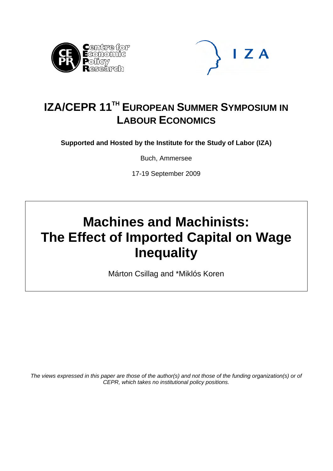



## **IZA/CEPR 11<sup>TH</sup> EUROPEAN SUMMER SYMPOSIUM IN LABOUR ECONOMICS**

**Supported and Hosted by the Institute for the Study of Labor (IZA)** 

Buch, Ammersee

17-19 September 2009

# **Machines and Machinists: The Effect of Imported Capital on Wage Inequality**

Márton Csillag and \*Miklós Koren

*The views expressed in this paper are those of the author(s) and not those of the funding organization(s) or of CEPR, which takes no institutional policy positions.*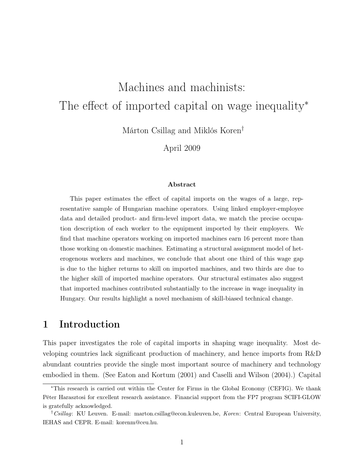## Machines and machinists: The effect of imported capital on wage inequality<sup>∗</sup>

Márton Csillag and Miklós Koren†

April 2009

#### Abstract

This paper estimates the effect of capital imports on the wages of a large, representative sample of Hungarian machine operators. Using linked employer-employee data and detailed product- and firm-level import data, we match the precise occupation description of each worker to the equipment imported by their employers. We find that machine operators working on imported machines earn 16 percent more than those working on domestic machines. Estimating a structural assignment model of heterogenous workers and machines, we conclude that about one third of this wage gap is due to the higher returns to skill on imported machines, and two thirds are due to the higher skill of imported machine operators. Our structural estimates also suggest that imported machines contributed substantially to the increase in wage inequality in Hungary. Our results highlight a novel mechanism of skill-biased technical change.

## 1 Introduction

This paper investigates the role of capital imports in shaping wage inequality. Most developing countries lack significant production of machinery, and hence imports from R&D abundant countries provide the single most important source of machinery and technology embodied in them. (See Eaton and Kortum (2001) and Caselli and Wilson (2004).) Capital

<sup>∗</sup>This research is carried out within the Center for Firms in the Global Economy (CEFIG). We thank Péter Harasztosi for excellent research assistance. Financial support from the FP7 program SCIFI-GLOW is gratefully acknowledged.

<sup>&</sup>lt;sup>†</sup>Csillag: KU Leuven. E-mail: marton.csillag@econ.kuleuven.be, Koren: Central European University, IEHAS and CEPR. E-mail: korenm@ceu.hu.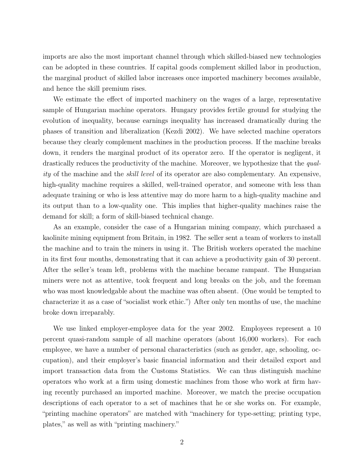imports are also the most important channel through which skilled-biased new technologies can be adopted in these countries. If capital goods complement skilled labor in production, the marginal product of skilled labor increases once imported machinery becomes available, and hence the skill premium rises.

We estimate the effect of imported machinery on the wages of a large, representative sample of Hungarian machine operators. Hungary provides fertile ground for studying the evolution of inequality, because earnings inequality has increased dramatically during the phases of transition and liberalization (Kezdi 2002). We have selected machine operators because they clearly complement machines in the production process. If the machine breaks down, it renders the marginal product of its operator zero. If the operator is negligent, it drastically reduces the productivity of the machine. Moreover, we hypothesize that the quality of the machine and the skill level of its operator are also complementary. An expensive, high-quality machine requires a skilled, well-trained operator, and someone with less than adequate training or who is less attentive may do more harm to a high-quality machine and its output than to a low-quality one. This implies that higher-quality machines raise the demand for skill; a form of skill-biased technical change.

As an example, consider the case of a Hungarian mining company, which purchased a kaolinite mining equipment from Britain, in 1982. The seller sent a team of workers to install the machine and to train the miners in using it. The British workers operated the machine in its first four months, demonstrating that it can achieve a productivity gain of 30 percent. After the seller's team left, problems with the machine became rampant. The Hungarian miners were not as attentive, took frequent and long breaks on the job, and the foreman who was most knowledgable about the machine was often absent. (One would be tempted to characterize it as a case of "socialist work ethic.") After only ten months of use, the machine broke down irreparably.

We use linked employer-employee data for the year 2002. Employees represent a 10 percent quasi-random sample of all machine operators (about 16,000 workers). For each employee, we have a number of personal characteristics (such as gender, age, schooling, occupation), and their employer's basic financial information and their detailed export and import transaction data from the Customs Statistics. We can thus distinguish machine operators who work at a firm using domestic machines from those who work at firm having recently purchased an imported machine. Moreover, we match the precise occupation descriptions of each operator to a set of machines that he or she works on. For example, "printing machine operators" are matched with "machinery for type-setting; printing type, plates," as well as with "printing machinery."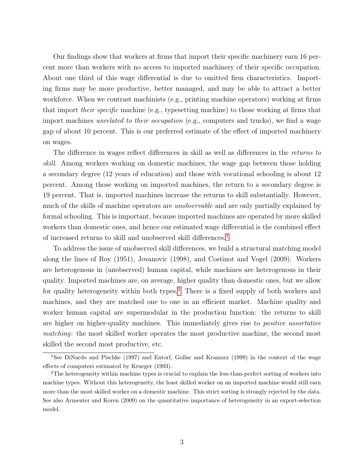Our findings show that workers at firms that import their specific machinery earn 16 percent more than workers with no access to imported machinery of their specific occupation. About one third of this wage differential is due to omitted firm characteristics. Importing firms may be more productive, better managed, and may be able to attract a better workforce. When we contrast machinists (e.g., printing machine operators) working at firms that import their specific machine (e.g., typesetting machine) to those working at firms that import machines *unrelated to their occupation* (e.g., computers and trucks), we find a wage gap of about 10 percent. This is our preferred estimate of the effect of imported machinery on wages.

The difference in wages reflect differences in skill as well as differences in the returns to skill. Among workers working on domestic machines, the wage gap between those holding a secondary degree (12 years of education) and those with vocational schooling is about 12 percent. Among those working on imported machines, the return to a secondary degree is 19 percent. That is, imported machines increase the returns to skill substantially. However, much of the skills of machine operators are *unobservable* and are only partially explained by formal schooling. This is important, because imported machines are operated by more skilled workers than domestic ones, and hence our estimated wage differential is the combined effect of increased returns to skill and unobserved skill differences.[1](#page-3-0)

To address the issue of unobserved skill differences, we build a structural matching model along the lines of Roy (1951), Jovanovic (1998), and Costinot and Vogel (2009). Workers are heterogenous in (unobserved) human capital, while machines are heterogenous in their quality. Imported machines are, on average, higher quality than domestic ones, but we allow for quality heterogeneity within both types.<sup>[2](#page-3-1)</sup> There is a fixed supply of both workers and machines, and they are matched one to one in an efficient market. Machine quality and worker human capital are supermodular in the production function: the returns to skill are higher on higher-quality machines. This immediately gives rise to positive assortative matching: the most skilled worker operates the most productive machine, the second most skilled the second most productive, etc.

<span id="page-3-0"></span><sup>1</sup>See DiNardo and Pischke (1997) and Entorf, Gollac and Kramarz (1999) in the context of the wage effects of computers estimated by Krueger (1993).

<span id="page-3-1"></span><sup>2</sup>The heterogeneity within machine types is crucial to explain the less-than-perfect sorting of workers into machine types. Without this heterogeneity, the least skilled worker on an imported machine would still earn more than the most skilled worker on a domestic machine. This strict sorting is strongly rejected by the data. See also Armenter and Koren (2009) on the quantitative importance of heterogeneity in an export-selection model.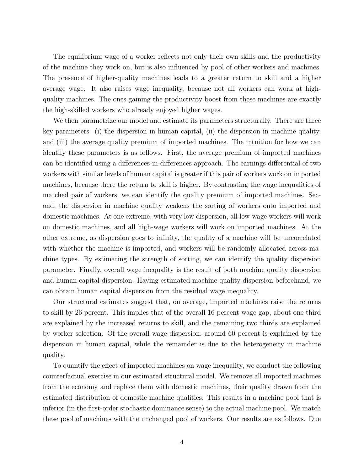The equilibrium wage of a worker reflects not only their own skills and the productivity of the machine they work on, but is also influenced by pool of other workers and machines. The presence of higher-quality machines leads to a greater return to skill and a higher average wage. It also raises wage inequality, because not all workers can work at highquality machines. The ones gaining the productivity boost from these machines are exactly the high-skilled workers who already enjoyed higher wages.

We then parametrize our model and estimate its parameters structurally. There are three key parameters: (i) the dispersion in human capital, (ii) the dispersion in machine quality, and (iii) the average quality premium of imported machines. The intuition for how we can identify these parameters is as follows. First, the average premium of imported machines can be identified using a differences-in-differences approach. The earnings differential of two workers with similar levels of human capital is greater if this pair of workers work on imported machines, because there the return to skill is higher. By contrasting the wage inequalities of matched pair of workers, we can identify the quality premium of imported machines. Second, the dispersion in machine quality weakens the sorting of workers onto imported and domestic machines. At one extreme, with very low dispersion, all low-wage workers will work on domestic machines, and all high-wage workers will work on imported machines. At the other extreme, as dispersion goes to infinity, the quality of a machine will be uncorrelated with whether the machine is imported, and workers will be randomly allocated across machine types. By estimating the strength of sorting, we can identify the quality dispersion parameter. Finally, overall wage inequality is the result of both machine quality dispersion and human capital dispersion. Having estimated machine quality dispersion beforehand, we can obtain human capital dispersion from the residual wage inequality.

Our structural estimates suggest that, on average, imported machines raise the returns to skill by 26 percent. This implies that of the overall 16 percent wage gap, about one third are explained by the increased returns to skill, and the remaining two thirds are explained by worker selection. Of the overall wage dispersion, around 60 percent is explained by the dispersion in human capital, while the remainder is due to the heterogeneity in machine quality.

To quantify the effect of imported machines on wage inequality, we conduct the following counterfactual exercise in our estimated structural model. We remove all imported machines from the economy and replace them with domestic machines, their quality drawn from the estimated distribution of domestic machine qualities. This results in a machine pool that is inferior (in the first-order stochastic dominance sense) to the actual machine pool. We match these pool of machines with the unchanged pool of workers. Our results are as follows. Due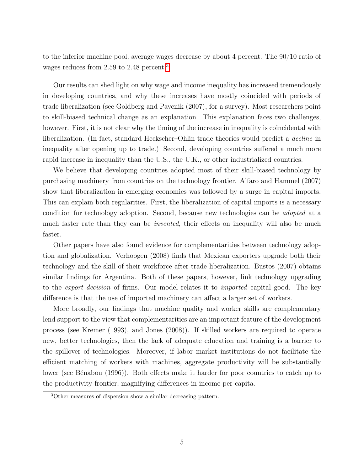to the inferior machine pool, average wages decrease by about 4 percent. The 90/10 ratio of wages reduces from 2.59 to 2.48 percent.<sup>[3](#page-5-0)</sup>

Our results can shed light on why wage and income inequality has increased tremendously in developing countries, and why these increases have mostly coincided with periods of trade liberalization (see Goldberg and Pavcnik (2007), for a survey). Most researchers point to skill-biased technical change as an explanation. This explanation faces two challenges, however. First, it is not clear why the timing of the increase in inequality is coincidental with liberalization. (In fact, standard Heckscher–Ohlin trade theories would predict a decline in inequality after opening up to trade.) Second, developing countries suffered a much more rapid increase in inequality than the U.S., the U.K., or other industrialized countries.

We believe that developing countries adopted most of their skill-biased technology by purchasing machinery from countries on the technology frontier. Alfaro and Hammel (2007) show that liberalization in emerging economies was followed by a surge in capital imports. This can explain both regularities. First, the liberalization of capital imports is a necessary condition for technology adoption. Second, because new technologies can be adopted at a much faster rate than they can be *invented*, their effects on inequality will also be much faster.

Other papers have also found evidence for complementarities between technology adoption and globalization. Verhoogen (2008) finds that Mexican exporters upgrade both their technology and the skill of their workforce after trade liberalization. Bustos (2007) obtains similar findings for Argentina. Both of these papers, however, link technology upgrading to the export decision of firms. Our model relates it to imported capital good. The key difference is that the use of imported machinery can affect a larger set of workers.

More broadly, our findings that machine quality and worker skills are complementary lend support to the view that complementarities are an important feature of the development process (see Kremer (1993), and Jones (2008)). If skilled workers are required to operate new, better technologies, then the lack of adequate education and training is a barrier to the spillover of technologies. Moreover, if labor market institutions do not facilitate the efficient matching of workers with machines, aggregate productivity will be substantially lower (see Bénabou (1996)). Both effects make it harder for poor countries to catch up to the productivity frontier, magnifying differences in income per capita.

<span id="page-5-0"></span><sup>3</sup>Other measures of dispersion show a similar decreasing pattern.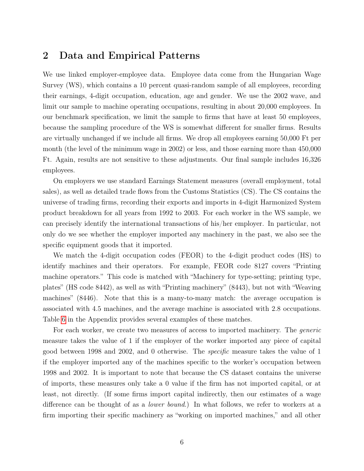### 2 Data and Empirical Patterns

We use linked employer-employee data. Employee data come from the Hungarian Wage Survey (WS), which contains a 10 percent quasi-random sample of all employees, recording their earnings, 4-digit occupation, education, age and gender. We use the 2002 wave, and limit our sample to machine operating occupations, resulting in about 20,000 employees. In our benchmark specification, we limit the sample to firms that have at least 50 employees, because the sampling procedure of the WS is somewhat different for smaller firms. Results are virtually unchanged if we include all firms. We drop all employees earning 50,000 Ft per month (the level of the minimum wage in 2002) or less, and those earning more than 450,000 Ft. Again, results are not sensitive to these adjustments. Our final sample includes 16,326 employees.

On employers we use standard Earnings Statement measures (overall employment, total sales), as well as detailed trade flows from the Customs Statistics (CS). The CS contains the universe of trading firms, recording their exports and imports in 4-digit Harmonized System product breakdown for all years from 1992 to 2003. For each worker in the WS sample, we can precisely identify the international transactions of his/her employer. In particular, not only do we see whether the employer imported any machinery in the past, we also see the specific equipment goods that it imported.

We match the 4-digit occupation codes (FEOR) to the 4-digit product codes (HS) to identify machines and their operators. For example, FEOR code 8127 covers "Printing machine operators." This code is matched with "Machinery for type-setting; printing type, plates" (HS code 8442), as well as with "Printing machinery" (8443), but not with "Weaving machines" (8446). Note that this is a many-to-many match: the average occupation is associated with 4.5 machines, and the average machine is associated with 2.8 occupations. Table [6](#page-31-0) in the Appendix provides several examples of these matches.

For each worker, we create two measures of access to imported machinery. The *generic* measure takes the value of 1 if the employer of the worker imported any piece of capital good between 1998 and 2002, and 0 otherwise. The specific measure takes the value of 1 if the employer imported any of the machines specific to the worker's occupation between 1998 and 2002. It is important to note that because the CS dataset contains the universe of imports, these measures only take a 0 value if the firm has not imported capital, or at least, not directly. (If some firms import capital indirectly, then our estimates of a wage difference can be thought of as a lower bound.) In what follows, we refer to workers at a firm importing their specific machinery as "working on imported machines," and all other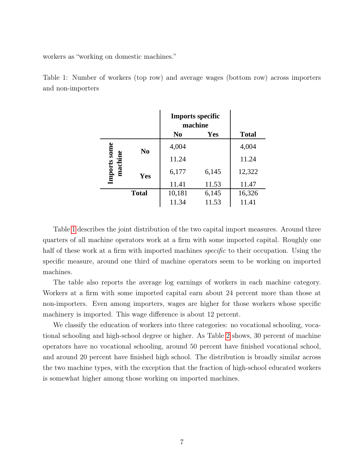workers as "working on domestic machines."

<span id="page-7-0"></span>Table 1: Number of workers (top row) and average wages (bottom row) across importers and non-importers

|             |                | <b>Imports specific</b><br>machine |       |              |
|-------------|----------------|------------------------------------|-------|--------------|
|             |                | N <sub>0</sub>                     | Yes   | <b>Total</b> |
|             | N <sub>0</sub> | 4,004                              |       | 4,004        |
| mports some |                | 11.24                              |       | 11.24        |
| ma          | Yes            | 6,177                              | 6,145 | 12,322       |
|             |                | 11.41                              | 11.53 | 11.47        |
|             | <b>Total</b>   | 10,181                             | 6,145 | 16,326       |
|             |                | 11.34                              | 11.53 | 11.41        |

Table [1](#page-7-0) describes the joint distribution of the two capital import measures. Around three quarters of all machine operators work at a firm with some imported capital. Roughly one half of these work at a firm with imported machines *specific* to their occupation. Using the specific measure, around one third of machine operators seem to be working on imported machines.

The table also reports the average log earnings of workers in each machine category. Workers at a firm with some imported capital earn about 24 percent more than those at non-importers. Even among importers, wages are higher for those workers whose specific machinery is imported. This wage difference is about 12 percent.

We classify the education of workers into three categories: no vocational schooling, vocational schooling and high-school degree or higher. As Table [2](#page-8-0) shows, 30 percent of machine operators have no vocational schooling, around 50 percent have finished vocational school, and around 20 percent have finished high school. The distribution is broadly similar across the two machine types, with the exception that the fraction of high-school educated workers is somewhat higher among those working on imported machines.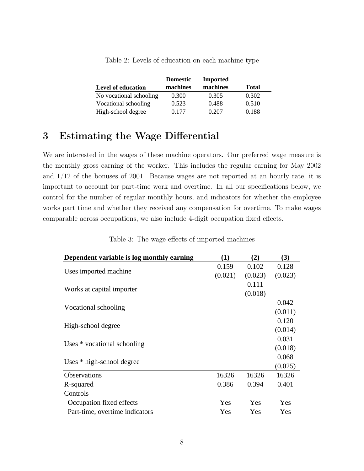|                           | <b>Domestic</b> | <b>Imported</b> |              |
|---------------------------|-----------------|-----------------|--------------|
| <b>Level of education</b> | machines        | machines        | <b>Total</b> |
| No vocational schooling   | 0.300           | 0.305           | 0.302        |
| Vocational schooling      | 0.523           | 0.488           | 0.510        |
| High-school degree        | 0.177           | 0.207           | 0.188        |

<span id="page-8-0"></span>Table 2: Levels of education on each machine type

## 3 Estimating the Wage Differential

We are interested in the wages of these machine operators. Our preferred wage measure is the monthly gross earning of the worker. This includes the regular earning for May 2002 and 1/12 of the bonuses of 2001. Because wages are not reported at an hourly rate, it is important to account for part-time work and overtime. In all our specifications below, we control for the number of regular monthly hours, and indicators for whether the employee works part time and whether they received any compensation for overtime. To make wages comparable across occupations, we also include 4-digit occupation fixed effects.

<span id="page-8-1"></span>

| Dependent variable is log monthly earning | (1)     | (2)     | (3)     |
|-------------------------------------------|---------|---------|---------|
|                                           | 0.159   | 0.102   | 0.128   |
| Uses imported machine                     | (0.021) | (0.023) | (0.023) |
|                                           |         | 0.111   |         |
| Works at capital importer                 |         | (0.018) |         |
|                                           |         |         | 0.042   |
| Vocational schooling                      |         |         | (0.011) |
|                                           |         |         | 0.120   |
| High-school degree                        |         |         | (0.014) |
|                                           |         |         | 0.031   |
| Uses * vocational schooling               |         |         | (0.018) |
|                                           |         |         | 0.068   |
| Uses * high-school degree                 |         |         | (0.025) |
| <b>Observations</b>                       | 16326   | 16326   | 16326   |
| R-squared                                 | 0.386   | 0.394   | 0.401   |
| Controls                                  |         |         |         |
| Occupation fixed effects                  | Yes     | Yes     | Yes     |
| Part-time, overtime indicators            | Yes     | Yes     | Yes     |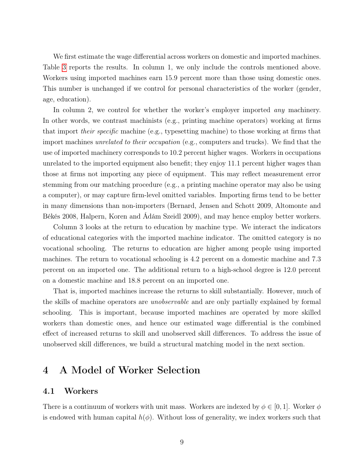We first estimate the wage differential across workers on domestic and imported machines. Table [3](#page-8-1) reports the results. In column 1, we only include the controls mentioned above. Workers using imported machines earn 15.9 percent more than those using domestic ones. This number is unchanged if we control for personal characteristics of the worker (gender, age, education).

In column 2, we control for whether the worker's employer imported *any* machinery. In other words, we contrast machinists (e.g., printing machine operators) working at firms that import their specific machine (e.g., typesetting machine) to those working at firms that import machines unrelated to their occupation (e.g., computers and trucks). We find that the use of imported machinery corresponds to 10.2 percent higher wages. Workers in occupations unrelated to the imported equipment also benefit; they enjoy 11.1 percent higher wages than those at firms not importing any piece of equipment. This may reflect measurement error stemming from our matching procedure (e.g., a printing machine operator may also be using a computer), or may capture firm-level omitted variables. Importing firms tend to be better in many dimensions than non-importers (Bernard, Jensen and Schott 2009, Altomonte and Békés 2008, Halpern, Koren and Ádám Szeidl 2009), and may hence employ better workers.

Column 3 looks at the return to education by machine type. We interact the indicators of educational categories with the imported machine indicator. The omitted category is no vocational schooling. The returns to education are higher among people using imported machines. The return to vocational schooling is 4.2 percent on a domestic machine and 7.3 percent on an imported one. The additional return to a high-school degree is 12.0 percent on a domestic machine and 18.8 percent on an imported one.

That is, imported machines increase the returns to skill substantially. However, much of the skills of machine operators are unobservable and are only partially explained by formal schooling. This is important, because imported machines are operated by more skilled workers than domestic ones, and hence our estimated wage differential is the combined effect of increased returns to skill and unobserved skill differences. To address the issue of unobserved skill differences, we build a structural matching model in the next section.

## 4 A Model of Worker Selection

#### 4.1 Workers

There is a continuum of workers with unit mass. Workers are indexed by  $\phi \in [0, 1]$ . Worker  $\phi$ is endowed with human capital  $h(\phi)$ . Without loss of generality, we index workers such that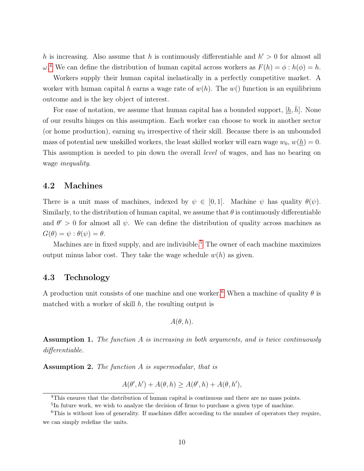h is increasing. Also assume that h is continuously differentiable and  $h' > 0$  for almost all  $\omega^4$  $\omega^4$  We can define the distribution of human capital across workers as  $F(h) = \phi : h(\phi) = h$ .

Workers supply their human capital inelastically in a perfectly competitive market. A worker with human capital h earns a wage rate of  $w(h)$ . The  $w()$  function is an equilibrium outcome and is the key object of interest.

For ease of notation, we assume that human capital has a bounded support,  $[h, h]$ . None of our results hinges on this assumption. Each worker can choose to work in another sector (or home production), earning  $w_0$  irrespective of their skill. Because there is an unbounded mass of potential new unskilled workers, the least skilled worker will earn wage  $w_0, w(h) = 0$ . This assumption is needed to pin down the overall level of wages, and has no bearing on wage inequality.

#### 4.2 Machines

There is a unit mass of machines, indexed by  $\psi \in [0,1]$ . Machine  $\psi$  has quality  $\theta(\psi)$ . Similarly, to the distribution of human capital, we assume that  $\theta$  is continuously differentiable and  $\theta' > 0$  for almost all  $\psi$ . We can define the distribution of quality across machines as  $G(\theta) = \psi : \theta(\psi) = \theta.$ 

Machines are in fixed supply, and are indivisible.<sup>[5](#page-10-1)</sup> The owner of each machine maximizes output minus labor cost. They take the wage schedule  $w(h)$  as given.

#### 4.3 Technology

A production unit consists of one machine and one worker.<sup>[6](#page-10-2)</sup> When a machine of quality  $\theta$  is matched with a worker of skill  $h$ , the resulting output is

$$
A(\theta,h).
$$

**Assumption 1.** The function  $\tilde{A}$  is increasing in both arguments, and is twice continuously differentiable.

Assumption 2. The function A is supermodular, that is

$$
A(\theta', h') + A(\theta, h) \ge A(\theta', h) + A(\theta, h'),
$$

<span id="page-10-0"></span><sup>4</sup>This ensures that the distribution of human capital is continuous and there are no mass points.

<span id="page-10-2"></span><span id="page-10-1"></span><sup>&</sup>lt;sup>5</sup>In future work, we wish to analyze the decision of firms to purchase a given type of machine.

<sup>&</sup>lt;sup>6</sup>This is without loss of generality. If machines differ according to the number of operators they require, we can simply redefine the units.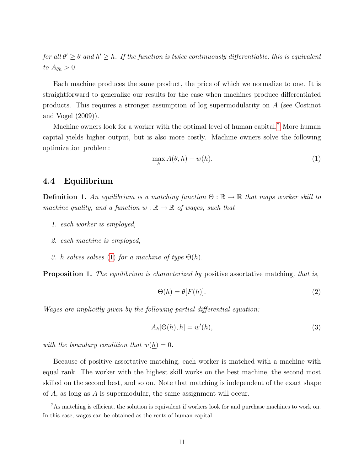for all  $\theta' \geq \theta$  and  $h' \geq h$ . If the function is twice continuously differentiable, this is equivalent to  $A_{\theta h} > 0$ .

Each machine produces the same product, the price of which we normalize to one. It is straightforward to generalize our results for the case when machines produce differentiated products. This requires a stronger assumption of log supermodularity on A (see Costinot and Vogel (2009)).

Machine owners look for a worker with the optimal level of human capital.[7](#page-11-0) More human capital yields higher output, but is also more costly. Machine owners solve the following optimization problem:

<span id="page-11-1"></span>
$$
\max_{h} A(\theta, h) - w(h). \tag{1}
$$

#### 4.4 Equilibrium

**Definition 1.** An equilibrium is a matching function  $\Theta : \mathbb{R} \to \mathbb{R}$  that maps worker skill to machine quality, and a function  $w : \mathbb{R} \to \mathbb{R}$  of wages, such that

- 1. each worker is employed,
- 2. each machine is employed,
- 3. h solves solves [\(1\)](#page-11-1) for a machine of type  $\Theta(h)$ .

**Proposition 1.** The equilibrium is characterized by positive assortative matching, that is,

$$
\Theta(h) = \theta[F(h)].\tag{2}
$$

Wages are implicitly given by the following partial differential equation:

<span id="page-11-2"></span>
$$
A_h[\Theta(h), h] = w'(h),\tag{3}
$$

with the boundary condition that  $w(\underline{h}) = 0$ .

Because of positive assortative matching, each worker is matched with a machine with equal rank. The worker with the highest skill works on the best machine, the second most skilled on the second best, and so on. Note that matching is independent of the exact shape of A, as long as A is supermodular, the same assignment will occur.

<span id="page-11-0"></span><sup>&</sup>lt;sup>7</sup>As matching is efficient, the solution is equivalent if workers look for and purchase machines to work on. In this case, wages can be obtained as the rents of human capital.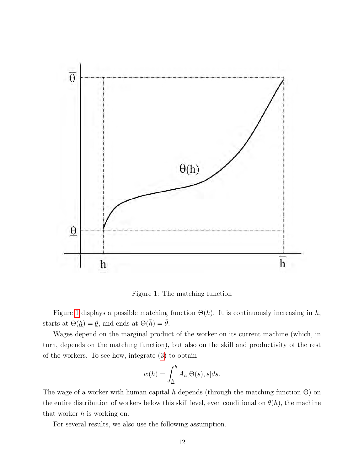

<span id="page-12-0"></span>Figure 1: The matching function

Figure [1](#page-12-0) displays a possible matching function  $\Theta(h)$ . It is continuously increasing in h, starts at  $\Theta(\underline{h}) = \underline{\theta}$ , and ends at  $\Theta(\overline{h}) = \overline{\theta}$ .

Wages depend on the marginal product of the worker on its current machine (which, in turn, depends on the matching function), but also on the skill and productivity of the rest of the workers. To see how, integrate [\(3\)](#page-11-2) to obtain

$$
w(h) = \int_{\underline{h}}^{h} A_h[\Theta(s), s]ds.
$$

The wage of a worker with human capital h depends (through the matching function  $\Theta$ ) on the entire distribution of workers below this skill level, even conditional on  $\theta(h)$ , the machine that worker  $h$  is working on.

For several results, we also use the following assumption.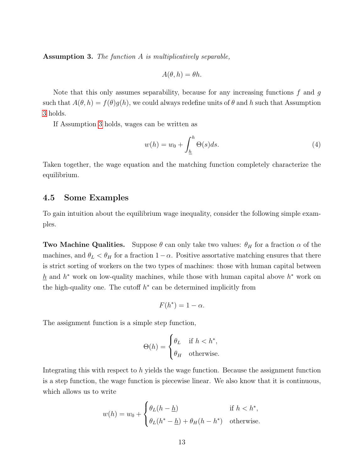<span id="page-13-0"></span>Assumption 3. The function A is multiplicatively separable,

$$
A(\theta, h) = \theta h.
$$

Note that this only assumes separability, because for any increasing functions  $f$  and  $g$ such that  $A(\theta, h) = f(\theta)g(h)$ , we could always redefine units of  $\theta$  and h such that Assumption [3](#page-13-0) holds.

If Assumption [3](#page-13-0) holds, wages can be written as

<span id="page-13-1"></span>
$$
w(h) = w_0 + \int_{\underline{h}}^{h} \Theta(s) ds.
$$
 (4)

Taken together, the wage equation and the matching function completely characterize the equilibrium.

#### 4.5 Some Examples

To gain intuition about the equilibrium wage inequality, consider the following simple examples.

**Two Machine Qualities.** Suppose  $\theta$  can only take two values:  $\theta_H$  for a fraction  $\alpha$  of the machines, and  $\theta_L < \theta_H$  for a fraction  $1-\alpha$ . Positive assortative matching ensures that there is strict sorting of workers on the two types of machines: those with human capital between  $h$  and  $h^*$  work on low-quality machines, while those with human capital above  $h^*$  work on the high-quality one. The cutoff  $h^*$  can be determined implicitly from

$$
F(h^*) = 1 - \alpha.
$$

The assignment function is a simple step function,

$$
\Theta(h) = \begin{cases} \theta_L & \text{if } h < h^*, \\ \theta_H & \text{otherwise.} \end{cases}
$$

Integrating this with respect to h yields the wage function. Because the assignment function is a step function, the wage function is piecewise linear. We also know that it is continuous, which allows us to write

$$
w(h) = w_0 + \begin{cases} \theta_L(h - \underline{h}) & \text{if } h < h^*, \\ \theta_L(h^* - \underline{h}) + \theta_H(h - h^*) & \text{otherwise.} \end{cases}
$$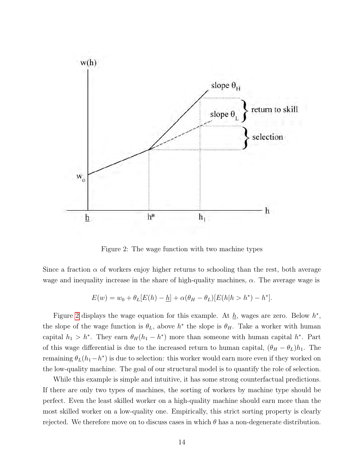

<span id="page-14-0"></span>Figure 2: The wage function with two machine types

Since a fraction  $\alpha$  of workers enjoy higher returns to schooling than the rest, both average wage and inequality increase in the share of high-quality machines,  $\alpha$ . The average wage is

$$
E(w) = w_0 + \theta_L[E(h) - \underline{h}] + \alpha(\theta_H - \theta_L)[E(h|h > h^*) - h^*].
$$

Figure [2](#page-14-0) displays the wage equation for this example. At  $\underline{h}$ , wages are zero. Below  $h^*$ , the slope of the wage function is  $\theta_L$ , above  $h^*$  the slope is  $\theta_H$ . Take a worker with human capital  $h_1 > h^*$ . They earn  $\theta_H(h_1 - h^*)$  more than someone with human capital  $h^*$ . Part of this wage differential is due to the increased return to human capital,  $(\theta_H - \theta_L)h_1$ . The remaining  $\theta_L(h_1-h^*)$  is due to selection: this worker would earn more even if they worked on the low-quality machine. The goal of our structural model is to quantify the role of selection.

While this example is simple and intuitive, it has some strong counterfactual predictions. If there are only two types of machines, the sorting of workers by machine type should be perfect. Even the least skilled worker on a high-quality machine should earn more than the most skilled worker on a low-quality one. Empirically, this strict sorting property is clearly rejected. We therefore move on to discuss cases in which  $\theta$  has a non-degenerate distribution.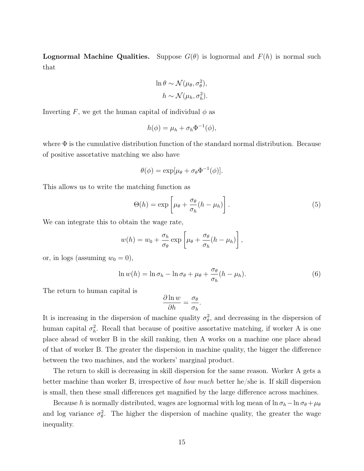**Lognormal Machine Qualities.** Suppose  $G(\theta)$  is lognormal and  $F(h)$  is normal such that

$$
\ln \theta \sim \mathcal{N}(\mu_{\theta}, \sigma_{\theta}^{2}),
$$
  

$$
h \sim \mathcal{N}(\mu_{h}, \sigma_{h}^{2}).
$$

Inverting F, we get the human capital of individual  $\phi$  as

$$
h(\phi) = \mu_h + \sigma_h \Phi^{-1}(\phi),
$$

where  $\Phi$  is the cumulative distribution function of the standard normal distribution. Because of positive assortative matching we also have

$$
\theta(\phi) = \exp[\mu_{\theta} + \sigma_{\theta} \Phi^{-1}(\phi)].
$$

This allows us to write the matching function as

$$
\Theta(h) = \exp\left[\mu_{\theta} + \frac{\sigma_{\theta}}{\sigma_h}(h - \mu_h)\right].
$$
\n(5)

We can integrate this to obtain the wage rate,

$$
w(h) = w_0 + \frac{\sigma_h}{\sigma_\theta} \exp\left[\mu_\theta + \frac{\sigma_\theta}{\sigma_h}(h - \mu_h)\right],
$$

or, in logs (assuming  $w_0 = 0$ ),

$$
\ln w(h) = \ln \sigma_h - \ln \sigma_\theta + \mu_\theta + \frac{\sigma_\theta}{\sigma_h} (h - \mu_h). \tag{6}
$$

The return to human capital is

$$
\frac{\partial \ln w}{\partial h} = \frac{\sigma_{\theta}}{\sigma_h}.
$$

It is increasing in the dispersion of machine quality  $\sigma_{\theta}^2$ , and decreasing in the dispersion of human capital  $\sigma_h^2$ . Recall that because of positive assortative matching, if worker A is one place ahead of worker B in the skill ranking, then A works on a machine one place ahead of that of worker B. The greater the dispersion in machine quality, the bigger the difference between the two machines, and the workers' marginal product.

The return to skill is decreasing in skill dispersion for the same reason. Worker A gets a better machine than worker B, irrespective of how much better he/she is. If skill dispersion is small, then these small differences get magnified by the large difference across machines.

Because h is normally distributed, wages are lognormal with log mean of  $\ln \sigma_h - \ln \sigma_\theta + \mu_\theta$ and log variance  $\sigma_{\theta}^2$ . The higher the dispersion of machine quality, the greater the wage inequality.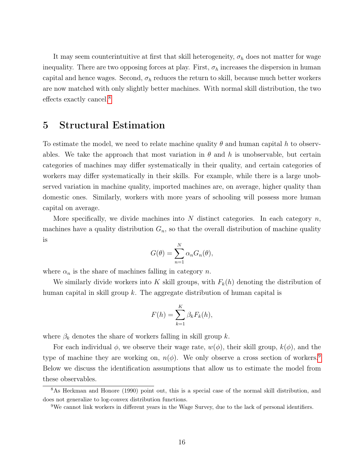It may seem counterintuitive at first that skill heterogeneity,  $\sigma_h$  does not matter for wage inequality. There are two opposing forces at play. First,  $\sigma_h$  increases the dispersion in human capital and hence wages. Second,  $\sigma_h$  reduces the return to skill, because much better workers are now matched with only slightly better machines. With normal skill distribution, the two effects exactly cancel.[8](#page-16-0)

## 5 Structural Estimation

To estimate the model, we need to relate machine quality  $\theta$  and human capital h to observables. We take the approach that most variation in  $\theta$  and h is unobservable, but certain categories of machines may differ systematically in their quality, and certain categories of workers may differ systematically in their skills. For example, while there is a large unobserved variation in machine quality, imported machines are, on average, higher quality than domestic ones. Similarly, workers with more years of schooling will possess more human capital on average.

More specifically, we divide machines into N distinct categories. In each category  $n$ , machines have a quality distribution  $G_n$ , so that the overall distribution of machine quality is

$$
G(\theta) = \sum_{n=1}^{N} \alpha_n G_n(\theta),
$$

where  $\alpha_n$  is the share of machines falling in category n.

We similarly divide workers into K skill groups, with  $F_k(h)$  denoting the distribution of human capital in skill group k. The aggregate distribution of human capital is

$$
F(h) = \sum_{k=1}^{K} \beta_k F_k(h),
$$

where  $\beta_k$  denotes the share of workers falling in skill group k.

For each individual  $\phi$ , we observe their wage rate,  $w(\phi)$ , their skill group,  $k(\phi)$ , and the type of machine they are working on,  $n(\phi)$ . We only observe a cross section of workers.<sup>[9](#page-16-1)</sup> Below we discuss the identification assumptions that allow us to estimate the model from these observables.

<span id="page-16-0"></span><sup>8</sup>As Heckman and Honore (1990) point out, this is a special case of the normal skill distribution, and does not generalize to log-convex distribution functions.

<span id="page-16-1"></span><sup>9</sup>We cannot link workers in different years in the Wage Survey, due to the lack of personal identifiers.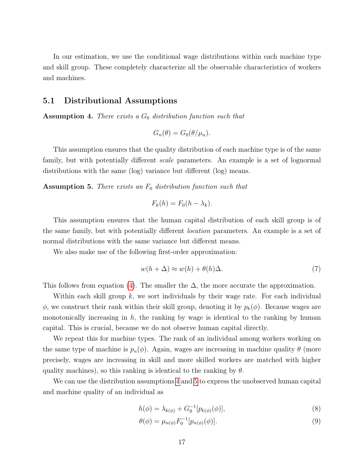In our estimation, we use the conditional wage distributions within each machine type and skill group. These completely characterize all the observable characteristics of workers and machines.

#### 5.1 Distributional Assumptions

<span id="page-17-0"></span>**Assumption 4.** There exists a  $G_0$  distribution function such that

$$
G_n(\theta) = G_0(\theta/\mu_n).
$$

This assumption ensures that the quality distribution of each machine type is of the same family, but with potentially different *scale* parameters. An example is a set of lognormal distributions with the same (log) variance but different (log) means.

<span id="page-17-1"></span>**Assumption 5.** There exists an  $F_0$  distribution function such that

$$
F_k(h) = F_0(h - \lambda_k).
$$

This assumption ensures that the human capital distribution of each skill group is of the same family, but with potentially different location parameters. An example is a set of normal distributions with the same variance but different means.

We also make use of the following first-order approximation:

<span id="page-17-3"></span>
$$
w(h + \Delta) \approx w(h) + \theta(h)\Delta.
$$
 (7)

This follows from equation [\(4\)](#page-13-1). The smaller the  $\Delta$ , the more accurate the approximation.

Within each skill group  $k$ , we sort individuals by their wage rate. For each individual  $\phi$ , we construct their rank within their skill group, denoting it by  $p_k(\phi)$ . Because wages are monotonically increasing in  $h$ , the ranking by wage is identical to the ranking by human capital. This is crucial, because we do not observe human capital directly.

We repeat this for machine types. The rank of an individual among workers working on the same type of machine is  $p_n(\phi)$ . Again, wages are increasing in machine quality  $\theta$  (more precisely, wages are increasing in skill and more skilled workers are matched with higher quality machines), so this ranking is identical to the ranking by  $\theta$ .

We can use the distribution assumptions [4](#page-17-0) and [5](#page-17-1) to express the unobserved human capital and machine quality of an individual as

$$
h(\phi) = \lambda_{k(\phi)} + G_0^{-1}[p_{k(\phi)}(\phi)],
$$
\n(8)

<span id="page-17-2"></span>
$$
\theta(\phi) = \mu_{n(\phi)} F_0^{-1} [p_{n(\phi)}(\phi)].
$$
\n(9)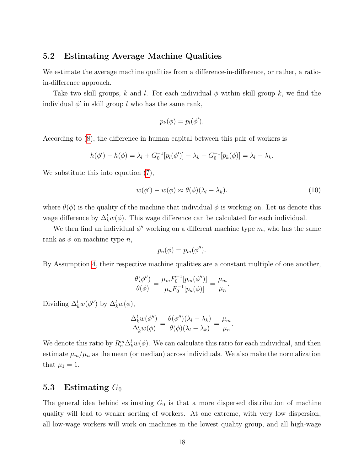#### 5.2 Estimating Average Machine Qualities

We estimate the average machine qualities from a difference-in-difference, or rather, a ratioin-difference approach.

Take two skill groups, k and l. For each individual  $\phi$  within skill group k, we find the individual  $\phi'$  in skill group l who has the same rank,

$$
p_k(\phi) = p_l(\phi').
$$

According to [\(8\)](#page-17-2), the difference in human capital between this pair of workers is

$$
h(\phi') - h(\phi) = \lambda_l + G_0^{-1}[p_l(\phi')] - \lambda_k + G_0^{-1}[p_k(\phi)] = \lambda_l - \lambda_k.
$$

We substitute this into equation  $(7)$ ,

<span id="page-18-0"></span>
$$
w(\phi') - w(\phi) \approx \theta(\phi)(\lambda_l - \lambda_k). \tag{10}
$$

where  $\theta(\phi)$  is the quality of the machine that individual  $\phi$  is working on. Let us denote this wage difference by  $\Delta_k^l w(\phi)$ . This wage difference can be calculated for each individual.

We then find an individual  $\phi''$  working on a different machine type m, who has the same rank as  $\phi$  on machine type n,

$$
p_n(\phi) = p_m(\phi'').
$$

By Assumption [4,](#page-17-0) their respective machine qualities are a constant multiple of one another,

$$
\frac{\theta(\phi'')}{\theta(\phi)} = \frac{\mu_m F_0^{-1}[p_m(\phi'')]}{\mu_n F_0^{-1}[p_n(\phi)]} = \frac{\mu_m}{\mu_n}.
$$

Dividing  $\Delta_k^l w(\phi'')$  by  $\Delta_k^l w(\phi)$ ,

$$
\frac{\Delta_k^l w(\phi'')}{\Delta_k^l w(\phi)} = \frac{\theta(\phi'')(\lambda_l - \lambda_k)}{\theta(\phi)(\lambda_l - \lambda_k)} = \frac{\mu_m}{\mu_n}.
$$

We denote this ratio by  $R_n^m \Delta_k^l w(\phi)$ . We can calculate this ratio for each individual, and then estimate  $\mu_m/\mu_n$  as the mean (or median) across individuals. We also make the normalization that  $\mu_1 = 1$ .

#### 5.3 Estimating  $G_0$

The general idea behind estimating  $G_0$  is that a more dispersed distribution of machine quality will lead to weaker sorting of workers. At one extreme, with very low dispersion, all low-wage workers will work on machines in the lowest quality group, and all high-wage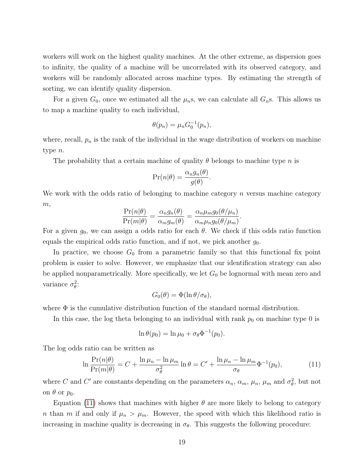workers will work on the highest quality machines. At the other extreme, as dispersion goes to infinity, the quality of a machine will be uncorrelated with its observed category, and workers will be randomly allocated across machine types. By estimating the strength of sorting, we can identify quality dispersion.

For a given  $G_0$ , once we estimated all the  $\mu_n$ s, we can calculate all  $G_n$ s. This allows us to map a machine quality to each individual,

$$
\theta(p_n) = \mu_n G_0^{-1}(p_n),
$$

where, recall,  $p_n$  is the rank of the individual in the wage distribution of workers on machine type n.

The probability that a certain machine of quality  $\theta$  belongs to machine type n is

$$
\Pr(n|\theta) = \frac{\alpha_n g_n(\theta)}{g(\theta)}.
$$

We work with the odds ratio of belonging to machine category  $n$  versus machine category  $m,$ 

$$
\frac{\Pr(n|\theta)}{\Pr(m|\theta)} = \frac{\alpha_n g_n(\theta)}{\alpha_m g_m(\theta)} = \frac{\alpha_n \mu_m g_0(\theta/\mu_n)}{\alpha_m \mu_n g_0(\theta/\mu_m)}.
$$

For a given  $g_0$ , we can assign a odds ratio for each  $\theta$ . We check if this odds ratio function equals the empirical odds ratio function, and if not, we pick another  $g_0$ .

In practice, we choose  $G_0$  from a parametric family so that this functional fix point problem is easier to solve. However, we emphasize that our identification strategy can also be applied nonparametrically. More specifically, we let  $G_0$  be lognormal with mean zero and variance  $\sigma_{\theta}^2$ :

$$
G_0(\theta) = \Phi(\ln \theta / \sigma_\theta),
$$

where  $\Phi$  is the cumulative distribution function of the standard normal distribution.

In this case, the log theta belonging to an individual with rank  $p_0$  on machine type 0 is

$$
\ln \theta(p_0) = \ln \mu_0 + \sigma_\theta \Phi^{-1}(p_0).
$$

The log odds ratio can be written as

<span id="page-19-0"></span>
$$
\ln \frac{\Pr(n|\theta)}{\Pr(m|\theta)} = C + \frac{\ln \mu_n - \ln \mu_m}{\sigma_\theta^2} \ln \theta = C' + \frac{\ln \mu_n - \ln \mu_m}{\sigma_\theta} \Phi^{-1}(p_0),\tag{11}
$$

where C and C' are constants depending on the parameters  $\alpha_n$ ,  $\alpha_m$ ,  $\mu_n$ ,  $\mu_m$  and  $\sigma_\theta^2$ , but not on  $\theta$  or  $p_0$ .

Equation [\(11\)](#page-19-0) shows that machines with higher  $\theta$  are more likely to belong to category n than m if and only if  $\mu_n > \mu_m$ . However, the speed with which this likelihood ratio is increasing in machine quality is decreasing in  $\sigma_{\theta}$ . This suggests the following procedure: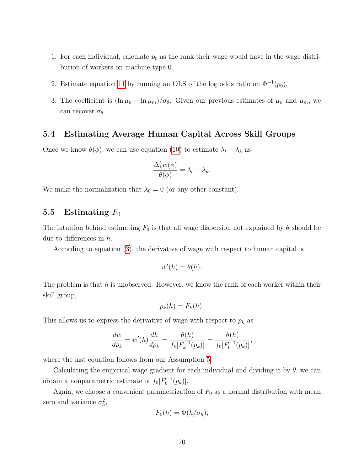- 1. For each individual, calculate  $p_0$  as the rank their wage would have in the wage distribution of workers on machine type 0.
- 2. Estimate equation [11](#page-19-0) by running an OLS of the log odds ratio on  $\Phi^{-1}(p_0)$ .
- 3. The coefficient is  $(\ln \mu_n \ln \mu_m)/\sigma_\theta$ . Given our previous estimates of  $\mu_n$  and  $\mu_m$ , we can recover  $\sigma_{\theta}$ .

#### 5.4 Estimating Average Human Capital Across Skill Groups

Once we know  $\theta(\phi)$ , we can use equation [\(10\)](#page-18-0) to estimate  $\lambda_l - \lambda_k$  as

$$
\frac{\Delta_k^l w(\phi)}{\theta(\phi)} = \lambda_l - \lambda_k.
$$

We make the normalization that  $\lambda_0 = 0$  (or any other constant).

#### 5.5 Estimating  $F_0$

The intuition behind estimating  $F_0$  is that all wage dispersion not explained by  $\theta$  should be due to differences in h.

According to equation [\(3\)](#page-11-2), the derivative of wage with respect to human capital is

$$
w'(h) = \theta(h).
$$

The problem is that  $h$  is unobserved. However, we know the rank of each worker within their skill group,

$$
p_k(h) = F_k(h).
$$

This allows us to express the derivative of wage with respect to  $p_k$  as

$$
\frac{dw}{dp_k} = w'(h)\frac{dh}{dp_k} = \frac{\theta(h)}{f_k[F_k^{-1}(p_k)]} = \frac{\theta(h)}{f_0[F_0^{-1}(p_k)]},
$$

where the last equation follows from our Assumption [5.](#page-17-1)

Calculating the empirical wage gradient for each individual and dividing it by  $\theta$ , we can obtain a nonparametric estimate of  $f_0[F_0^{-1}(p_k)].$ 

Again, we choose a convenient parametrization of  $F_0$  as a normal distribution with mean zero and variance  $\sigma_h^2$ ,

$$
F_0(h) = \Phi(h/\sigma_h),
$$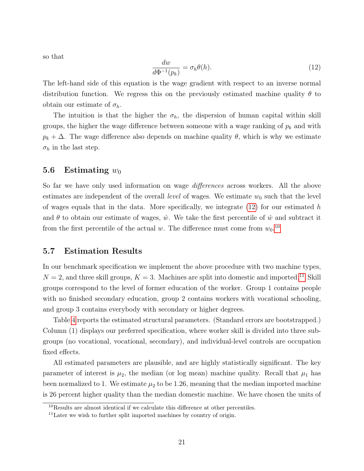so that

<span id="page-21-0"></span>
$$
\frac{dw}{d\Phi^{-1}(p_k)} = \sigma_h \theta(h). \tag{12}
$$

The left-hand side of this equation is the wage gradient with respect to an inverse normal distribution function. We regress this on the previously estimated machine quality  $\theta$  to obtain our estimate of  $\sigma_h$ .

The intuition is that the higher the  $\sigma_h$ , the dispersion of human capital within skill groups, the higher the wage difference between someone with a wage ranking of  $p_k$  and with  $p_k + \Delta$ . The wage difference also depends on machine quality  $\theta$ , which is why we estimate  $\sigma_h$  in the last step.

#### 5.6 Estimating  $w_0$

So far we have only used information on wage *differences* across workers. All the above estimates are independent of the overall *level* of wages. We estimate  $w_0$  such that the level of wages equals that in the data. More specifically, we integrate  $(12)$  for our estimated h and  $\theta$  to obtain our estimate of wages,  $\hat{w}$ . We take the first percentile of  $\hat{w}$  and subtract it from the first percentile of the actual w. The difference must come from  $w_0$ .<sup>[10](#page-21-1)</sup>

#### 5.7 Estimation Results

In our benchmark specification we implement the above procedure with two machine types,  $N = 2$ , and three skill groups,  $K = 3$ . Machines are split into domestic and imported.<sup>[11](#page-21-2)</sup> Skill groups correspond to the level of former education of the worker. Group 1 contains people with no finished secondary education, group 2 contains workers with vocational schooling, and group 3 contains everybody with secondary or higher degrees.

Table [4](#page-22-0) reports the estimated structural parameters. (Standard errors are bootstrapped.) Column (1) displays our preferred specification, where worker skill is divided into three subgroups (no vocational, vocational, secondary), and individual-level controls are occupation fixed effects.

All estimated parameters are plausible, and are highly statistically significant. The key parameter of interest is  $\mu_2$ , the median (or log mean) machine quality. Recall that  $\mu_1$  has been normalized to 1. We estimate  $\mu_2$  to be 1.26, meaning that the median imported machine is 26 percent higher quality than the median domestic machine. We have chosen the units of

<span id="page-21-1"></span> $10$ Results are almost identical if we calculate this difference at other percentiles.

<span id="page-21-2"></span> $11$ Later we wish to further split imported machines by country of origin.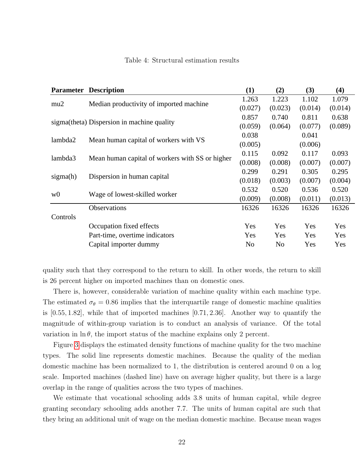|                | <b>Parameter Description</b>                    | $\bf(1)$       | (2)            | (3)     | (4)     |
|----------------|-------------------------------------------------|----------------|----------------|---------|---------|
|                |                                                 | 1.263          | 1.223          | 1.102   | 1.079   |
| mu2            | Median productivity of imported machine         | (0.027)        | (0.023)        | (0.014) | (0.014) |
|                |                                                 | 0.857          | 0.740          | 0.811   | 0.638   |
|                | sigma(theta) Dispersion in machine quality      | (0.059)        | (0.064)        | (0.077) | (0.089) |
|                |                                                 | 0.038          |                | 0.041   |         |
| lambda2        | Mean human capital of workers with VS           | (0.005)        |                | (0.006) |         |
|                |                                                 | 0.115          | 0.092          | 0.117   | 0.093   |
| lambda3        | Mean human capital of workers with SS or higher | (0.008)        | (0.008)        | (0.007) | (0.007) |
|                |                                                 | 0.299          | 0.291          | 0.305   | 0.295   |
| sigma(h)       | Dispersion in human capital                     | (0.018)        | (0.003)        | (0.007) | (0.004) |
|                |                                                 | 0.532          | 0.520          | 0.536   | 0.520   |
| w <sub>0</sub> | Wage of lowest-skilled worker                   | (0.009)        | (0.008)        | (0.011) | (0.013) |
|                | Observations                                    | 16326          | 16326          | 16326   | 16326   |
| Controls       |                                                 |                |                |         |         |
|                | Occupation fixed effects                        | Yes            | Yes            | Yes     | Yes     |
|                | Part-time, overtime indicators                  | Yes            | Yes            | Yes     | Yes     |
|                | Capital importer dummy                          | N <sub>0</sub> | N <sub>0</sub> | Yes     | Yes     |

#### <span id="page-22-0"></span>Table 4: Structural estimation results

quality such that they correspond to the return to skill. In other words, the return to skill is 26 percent higher on imported machines than on domestic ones.

There is, however, considerable variation of machine quality within each machine type. The estimated  $\sigma_{\theta} = 0.86$  implies that the interquartile range of domestic machine qualities is  $[0.55, 1.82]$ , while that of imported machines  $[0.71, 2.36]$ . Another way to quantify the magnitude of within-group variation is to conduct an analysis of variance. Of the total variation in  $\ln \theta$ , the import status of the machine explains only 2 percent.

Figure [3](#page-23-0) displays the estimated density functions of machine quality for the two machine types. The solid line represents domestic machines. Because the quality of the median domestic machine has been normalized to 1, the distribution is centered around 0 on a log scale. Imported machines (dashed line) have on average higher quality, but there is a large overlap in the range of qualities across the two types of machines.

We estimate that vocational schooling adds 3.8 units of human capital, while degree granting secondary schooling adds another 7.7. The units of human capital are such that they bring an additional unit of wage on the median domestic machine. Because mean wages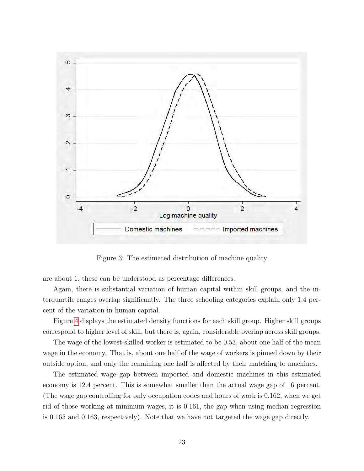

<span id="page-23-0"></span>Figure 3: The estimated distribution of machine quality

are about 1, these can be understood as percentage differences.

Again, there is substantial variation of human capital within skill groups, and the interquartile ranges overlap significantly. The three schooling categories explain only 1.4 percent of the variation in human capital.

Figure [4](#page-24-0) displays the estimated density functions for each skill group. Higher skill groups correspond to higher level of skill, but there is, again, considerable overlap across skill groups.

The wage of the lowest-skilled worker is estimated to be 0.53, about one half of the mean wage in the economy. That is, about one half of the wage of workers is pinned down by their outside option, and only the remaining one half is affected by their matching to machines.

The estimated wage gap between imported and domestic machines in this estimated economy is 12.4 percent. This is somewhat smaller than the actual wage gap of 16 percent. (The wage gap controlling for only occupation codes and hours of work is 0.162, when we get rid of those working at minimum wages, it is 0.161, the gap when using median regression is 0.165 and 0.163, respectively). Note that we have not targeted the wage gap directly.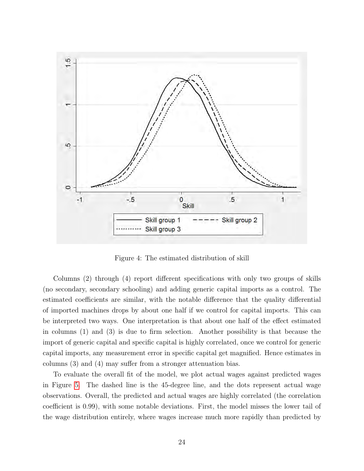

<span id="page-24-0"></span>Figure 4: The estimated distribution of skill

Columns (2) through (4) report different specifications with only two groups of skills (no secondary, secondary schooling) and adding generic capital imports as a control. The estimated coefficients are similar, with the notable difference that the quality differential of imported machines drops by about one half if we control for capital imports. This can be interpreted two ways. One interpretation is that about one half of the effect estimated in columns (1) and (3) is due to firm selection. Another possibility is that because the import of generic capital and specific capital is highly correlated, once we control for generic capital imports, any measurement error in specific capital get magnified. Hence estimates in columns (3) and (4) may suffer from a stronger attenuation bias.

To evaluate the overall fit of the model, we plot actual wages against predicted wages in Figure [5.](#page-25-0) The dashed line is the 45-degree line, and the dots represent actual wage observations. Overall, the predicted and actual wages are highly correlated (the correlation coefficient is 0.99), with some notable deviations. First, the model misses the lower tail of the wage distribution entirely, where wages increase much more rapidly than predicted by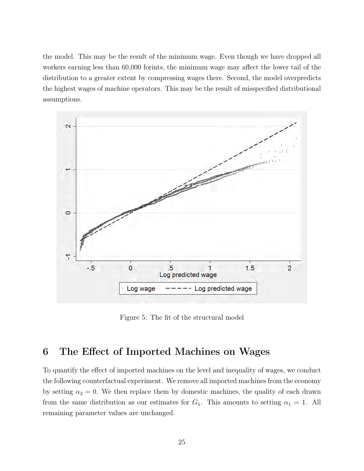the model. This may be the result of the minimum wage. Even though we have dropped all workers earning less than 60,000 forints, the minimum wage may affect the lower tail of the distribution to a greater extent by compressing wages there. Second, the model overpredicts the highest wages of machine operators. This may be the result of misspecified distributional assumptions.



<span id="page-25-0"></span>Figure 5: The fit of the structural model

## 6 The Effect of Imported Machines on Wages

To quantify the effect of imported machines on the level and inequality of wages, we conduct the following counterfactual experiment. We remove all imported machines from the economy by setting  $\alpha_2 = 0$ . We then replace them by domestic machines, the quality of each drawn from the same distribution as our estimates for  $G_1$ . This amounts to setting  $\alpha_1 = 1$ . All remaining parameter values are unchanged.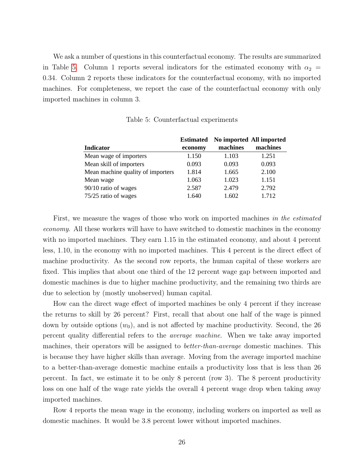We ask a number of questions in this counterfactual economy. The results are summarized in Table [5.](#page-26-0) Column 1 reports several indicators for the estimated economy with  $\alpha_2 =$ 0.34. Column 2 reports these indicators for the counterfactual economy, with no imported machines. For completeness, we report the case of the counterfactual economy with only imported machines in column 3.

|                                   | <b>Estimated</b> |          | No imported All imported |
|-----------------------------------|------------------|----------|--------------------------|
| <b>Indicator</b>                  | economy          | machines | machines                 |
| Mean wage of importers            | 1.150            | 1.103    | 1.251                    |
| Mean skill of importers           | 0.093            | 0.093    | 0.093                    |
| Mean machine quality of importers | 1.814            | 1.665    | 2.100                    |
| Mean wage                         | 1.063            | 1.023    | 1.151                    |
| 90/10 ratio of wages              | 2.587            | 2.479    | 2.792                    |
| 75/25 ratio of wages              | 1.640            | 1.602    | 1.712                    |

<span id="page-26-0"></span>Table 5: Counterfactual experiments

First, we measure the wages of those who work on imported machines in the estimated economy. All these workers will have to have switched to domestic machines in the economy with no imported machines. They earn 1.15 in the estimated economy, and about 4 percent less, 1.10, in the economy with no imported machines. This 4 percent is the direct effect of machine productivity. As the second row reports, the human capital of these workers are fixed. This implies that about one third of the 12 percent wage gap between imported and domestic machines is due to higher machine productivity, and the remaining two thirds are due to selection by (mostly unobserved) human capital.

How can the direct wage effect of imported machines be only 4 percent if they increase the returns to skill by 26 percent? First, recall that about one half of the wage is pinned down by outside options  $(w_0)$ , and is not affected by machine productivity. Second, the 26 percent quality differential refers to the average machine. When we take away imported machines, their operators will be assigned to *better-than-average* domestic machines. This is because they have higher skills than average. Moving from the average imported machine to a better-than-average domestic machine entails a productivity loss that is less than 26 percent. In fact, we estimate it to be only 8 percent (row 3). The 8 percent productivity loss on one half of the wage rate yields the overall 4 percent wage drop when taking away imported machines.

Row 4 reports the mean wage in the economy, including workers on imported as well as domestic machines. It would be 3.8 percent lower without imported machines.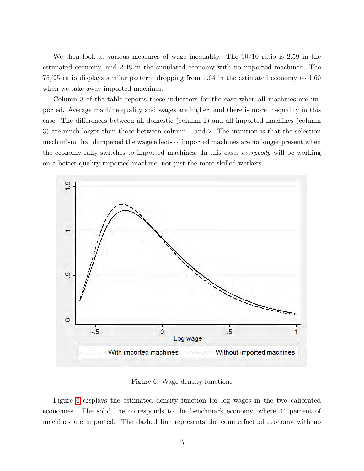We then look at various measures of wage inequality. The 90/10 ratio is 2.59 in the estimated economy, and 2.48 in the simulated economy with no imported machines. The 75/25 ratio displays similar pattern, dropping from 1.64 in the estimated economy to 1.60 when we take away imported machines.

Column 3 of the table reports these indicators for the case when all machines are imported. Average machine quality and wages are higher, and there is more inequality in this case. The differences between all domestic (column 2) and all imported machines (column 3) are much larger than those between column 1 and 2. The intuition is that the selection mechanism that dampened the wage effects of imported machines are no longer present when the economy fully switches to imported machines. In this case, everybody will be working on a better-quality imported machine, not just the more skilled workers.



<span id="page-27-0"></span>Figure 6: Wage density functions

Figure [6](#page-27-0) displays the estimated density function for log wages in the two calibrated economies. The solid line corresponds to the benchmark economy, where 34 percent of machines are imported. The dashed line represents the counterfactual economy with no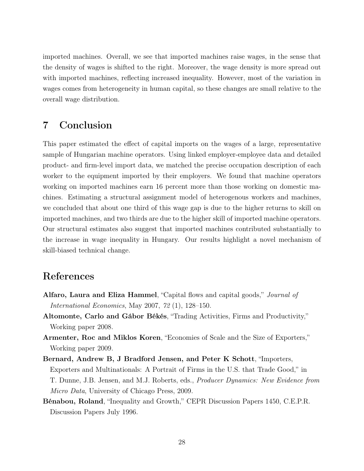imported machines. Overall, we see that imported machines raise wages, in the sense that the density of wages is shifted to the right. Moreover, the wage density is more spread out with imported machines, reflecting increased inequality. However, most of the variation in wages comes from heterogeneity in human capital, so these changes are small relative to the overall wage distribution.

## 7 Conclusion

This paper estimated the effect of capital imports on the wages of a large, representative sample of Hungarian machine operators. Using linked employer-employee data and detailed product- and firm-level import data, we matched the precise occupation description of each worker to the equipment imported by their employers. We found that machine operators working on imported machines earn 16 percent more than those working on domestic machines. Estimating a structural assignment model of heterogenous workers and machines, we concluded that about one third of this wage gap is due to the higher returns to skill on imported machines, and two thirds are due to the higher skill of imported machine operators. Our structural estimates also suggest that imported machines contributed substantially to the increase in wage inequality in Hungary. Our results highlight a novel mechanism of skill-biased technical change.

### References

- Alfaro, Laura and Eliza Hammel, "Capital flows and capital goods," Journal of International Economics, May 2007, 72 (1), 128–150.
- Altomonte, Carlo and Gábor Békés, "Trading Activities, Firms and Productivity," Working paper 2008.
- Armenter, Roc and Miklos Koren, "Economies of Scale and the Size of Exporters," Working paper 2009.
- Bernard, Andrew B, J Bradford Jensen, and Peter K Schott, "Importers, Exporters and Multinationals: A Portrait of Firms in the U.S. that Trade Good," in T. Dunne, J.B. Jensen, and M.J. Roberts, eds., Producer Dynamics: New Evidence from Micro Data, University of Chicago Press, 2009.
- Bénabou, Roland, "Inequality and Growth," CEPR Discussion Papers 1450, C.E.P.R. Discussion Papers July 1996.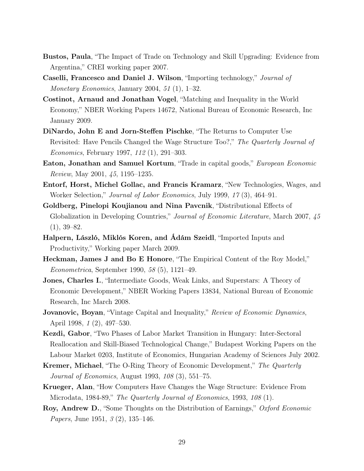- Bustos, Paula, "The Impact of Trade on Technology and Skill Upgrading: Evidence from Argentina," CREI working paper 2007.
- Caselli, Francesco and Daniel J. Wilson, "Importing technology," Journal of Monetary Economics, January 2004, 51 (1), 1–32.
- Costinot, Arnaud and Jonathan Vogel, "Matching and Inequality in the World Economy," NBER Working Papers 14672, National Bureau of Economic Research, Inc January 2009.
- DiNardo, John E and Jorn-Steffen Pischke, "The Returns to Computer Use Revisited: Have Pencils Changed the Wage Structure Too?," The Quarterly Journal of Economics, February 1997, 112 (1), 291–303.
- Eaton, Jonathan and Samuel Kortum, "Trade in capital goods," *European Economic* Review, May 2001, 45, 1195–1235.
- Entorf, Horst, Michel Gollac, and Francis Kramarz, "New Technologies, Wages, and Worker Selection," Journal of Labor Economics, July 1999, 17 (3), 464–91.
- Goldberg, Pinelopi Koujianou and Nina Pavcnik, "Distributional Effects of Globalization in Developing Countries," Journal of Economic Literature, March 2007, 45  $(1), 39-82.$
- Halpern, László, Miklós Koren, and Ádám Szeidl, "Imported Inputs and Productivity," Working paper March 2009.
- Heckman, James J and Bo E Honore, "The Empirical Content of the Roy Model," Econometrica, September 1990, 58 (5), 1121–49.
- Jones, Charles I., "Intermediate Goods, Weak Links, and Superstars: A Theory of Economic Development," NBER Working Papers 13834, National Bureau of Economic Research, Inc March 2008.
- **Jovanovic, Boyan**, "Vintage Capital and Inequality," Review of Economic Dynamics, April 1998, 1 (2), 497–530.
- Kezdi, Gabor, "Two Phases of Labor Market Transition in Hungary: Inter-Sectoral Reallocation and Skill-Biased Technological Change," Budapest Working Papers on the Labour Market 0203, Institute of Economics, Hungarian Academy of Sciences July 2002.
- Kremer, Michael, "The O-Ring Theory of Economic Development," The Quarterly Journal of Economics, August 1993, 108 (3), 551–75.
- Krueger, Alan, "How Computers Have Changes the Wage Structure: Evidence From Microdata, 1984-89," The Quarterly Journal of Economics, 1993, 108 (1).
- Roy, Andrew D., "Some Thoughts on the Distribution of Earnings," Oxford Economic *Papers*, June 1951, 3(2), 135–146.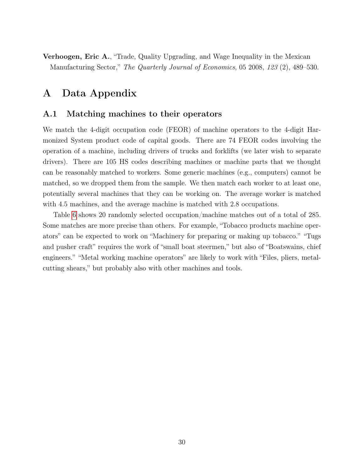Verhoogen, Eric A., "Trade, Quality Upgrading, and Wage Inequality in the Mexican Manufacturing Sector," The Quarterly Journal of Economics, 05 2008, 123 (2), 489–530.

## A Data Appendix

#### A.1 Matching machines to their operators

We match the 4-digit occupation code (FEOR) of machine operators to the 4-digit Harmonized System product code of capital goods. There are 74 FEOR codes involving the operation of a machine, including drivers of trucks and forklifts (we later wish to separate drivers). There are 105 HS codes describing machines or machine parts that we thought can be reasonably matched to workers. Some generic machines (e.g., computers) cannot be matched, so we dropped them from the sample. We then match each worker to at least one, potentially several machines that they can be working on. The average worker is matched with 4.5 machines, and the average machine is matched with 2.8 occupations.

Table [6](#page-31-0) shows 20 randomly selected occupation/machine matches out of a total of 285. Some matches are more precise than others. For example, "Tobacco products machine operators" can be expected to work on "Machinery for preparing or making up tobacco." "Tugs and pusher craft" requires the work of "small boat steermen," but also of "Boatswains, chief engineers." "Metal working machine operators" are likely to work with "Files, pliers, metalcutting shears," but probably also with other machines and tools.